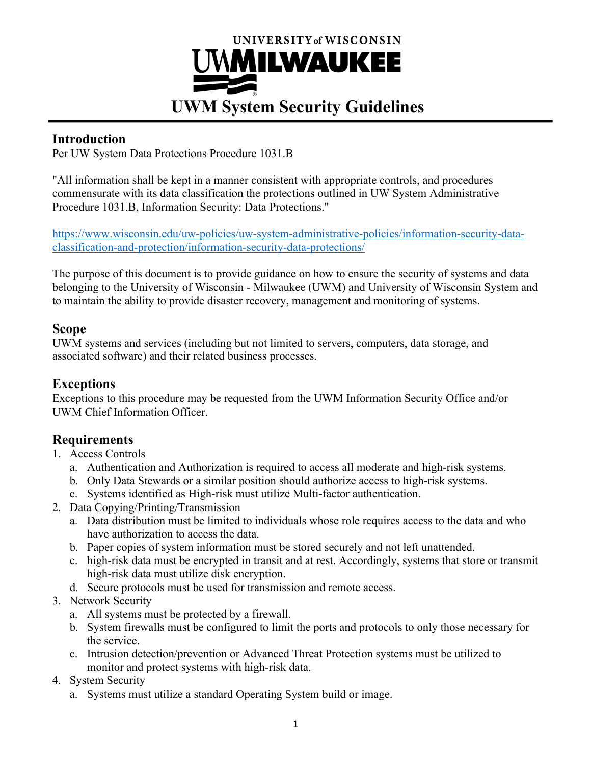# UNIVERSITY of WISCONSIN UWMILWAUKEE **UWM System Security Guidelines**

#### **Introduction**

Per UW System Data Protections Procedure 1031.B

"All information shall be kept in a manner consistent with appropriate controls, and procedures commensurate with its data classification the protections outlined in UW System Administrative Procedure 1031.B, Information Security: Data Protections."

https://www.wisconsin.edu/uw-policies/uw-system-administrative-policies/information-security-dataclassification-and-protection/information-security-data-protections/

The purpose of this document is to provide guidance on how to ensure the security of systems and data belonging to the University of Wisconsin - Milwaukee (UWM) and University of Wisconsin System and to maintain the ability to provide disaster recovery, management and monitoring of systems.

#### **Scope**

UWM systems and services (including but not limited to servers, computers, data storage, and associated software) and their related business processes.

#### **Exceptions**

Exceptions to this procedure may be requested from the UWM Information Security Office and/or UWM Chief Information Officer.

## **Requirements**

- 1. Access Controls
	- a. Authentication and Authorization is required to access all moderate and high-risk systems.
	- b. Only Data Stewards or a similar position should authorize access to high-risk systems.
	- c. Systems identified as High-risk must utilize Multi-factor authentication.
- 2. Data Copying/Printing/Transmission
	- a. Data distribution must be limited to individuals whose role requires access to the data and who have authorization to access the data.
	- b. Paper copies of system information must be stored securely and not left unattended.
	- c. high-risk data must be encrypted in transit and at rest. Accordingly, systems that store or transmit high-risk data must utilize disk encryption.
	- d. Secure protocols must be used for transmission and remote access.
- 3. Network Security
	- a. All systems must be protected by a firewall.
	- b. System firewalls must be configured to limit the ports and protocols to only those necessary for the service.
	- c. Intrusion detection/prevention or Advanced Threat Protection systems must be utilized to monitor and protect systems with high-risk data.
- 4. System Security
	- a. Systems must utilize a standard Operating System build or image.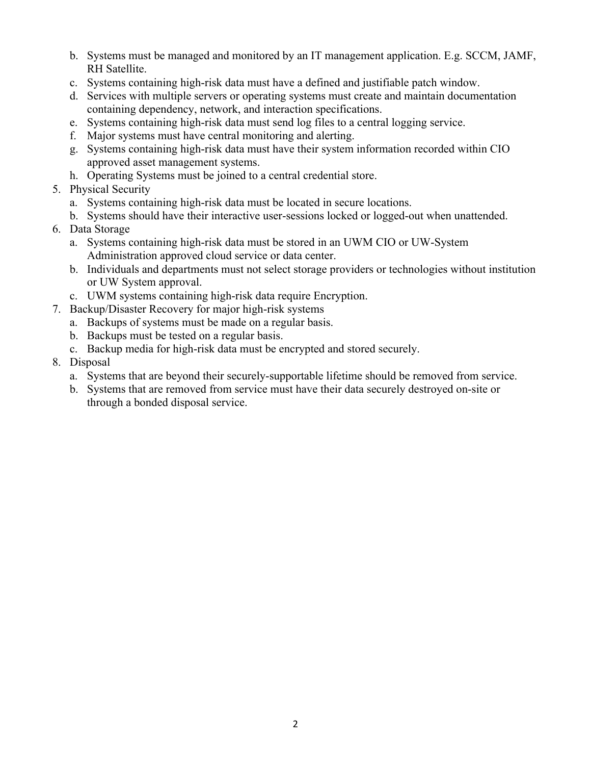- b. Systems must be managed and monitored by an IT management application. E.g. SCCM, JAMF, RH Satellite.
- c. Systems containing high-risk data must have a defined and justifiable patch window.
- d. Services with multiple servers or operating systems must create and maintain documentation containing dependency, network, and interaction specifications.
- e. Systems containing high-risk data must send log files to a central logging service.
- f. Major systems must have central monitoring and alerting.
- g. Systems containing high-risk data must have their system information recorded within CIO approved asset management systems.
- h. Operating Systems must be joined to a central credential store.
- 5. Physical Security
	- a. Systems containing high-risk data must be located in secure locations.
	- b. Systems should have their interactive user-sessions locked or logged-out when unattended.
- 6. Data Storage
	- a. Systems containing high-risk data must be stored in an UWM CIO or UW-System Administration approved cloud service or data center.
	- b. Individuals and departments must not select storage providers or technologies without institution or UW System approval.
	- c. UWM systems containing high-risk data require Encryption.
- 7. Backup/Disaster Recovery for major high-risk systems
	- a. Backups of systems must be made on a regular basis.
	- b. Backups must be tested on a regular basis.
	- c. Backup media for high-risk data must be encrypted and stored securely.
- 8. Disposal
	- a. Systems that are beyond their securely-supportable lifetime should be removed from service.
	- b. Systems that are removed from service must have their data securely destroyed on-site or through a bonded disposal service.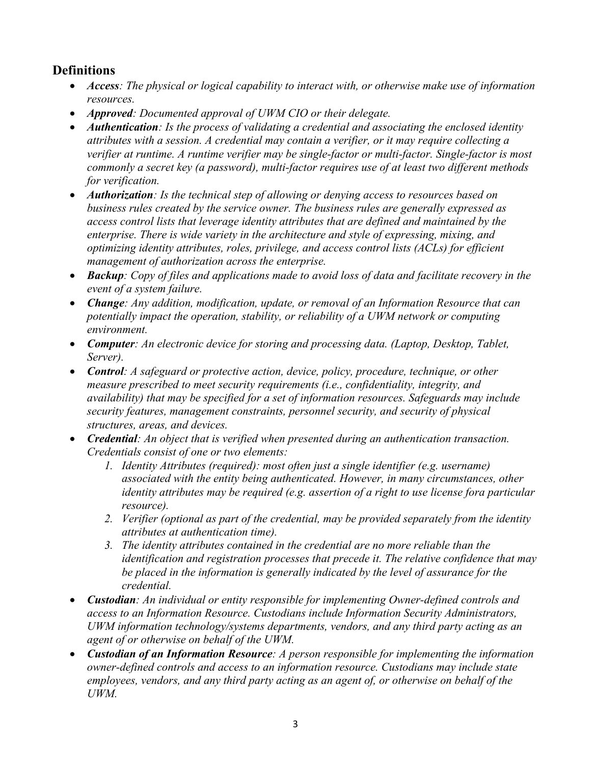### **Definitions**

- *Access: The physical or logical capability to interact with, or otherwise make use of information resources.*
- *Approved: Documented approval of UWM CIO or their delegate.*
- *Authentication: Is the process of validating a credential and associating the enclosed identity attributes with a session. A credential may contain a verifier, or it may require collecting a verifier at runtime. A runtime verifier may be single-factor or multi-factor. Single-factor is most commonly a secret key (a password), multi-factor requires use of at least two different methods for verification.*
- *Authorization: Is the technical step of allowing or denying access to resources based on business rules created by the service owner. The business rules are generally expressed as access control lists that leverage identity attributes that are defined and maintained by the enterprise. There is wide variety in the architecture and style of expressing, mixing, and optimizing identity attributes, roles, privilege, and access control lists (ACLs) for efficient management of authorization across the enterprise.*
- *Backup: Copy of files and applications made to avoid loss of data and facilitate recovery in the event of a system failure.*
- *Change: Any addition, modification, update, or removal of an Information Resource that can potentially impact the operation, stability, or reliability of a UWM network or computing environment.*
- *Computer: An electronic device for storing and processing data. (Laptop, Desktop, Tablet, Server).*
- *Control: A safeguard or protective action, device, policy, procedure, technique, or other measure prescribed to meet security requirements (i.e., confidentiality, integrity, and availability) that may be specified for a set of information resources. Safeguards may include security features, management constraints, personnel security, and security of physical structures, areas, and devices.*
- *Credential: An object that is verified when presented during an authentication transaction. Credentials consist of one or two elements:*
	- *1. Identity Attributes (required): most often just a single identifier (e.g. username) associated with the entity being authenticated. However, in many circumstances, other identity attributes may be required (e.g. assertion of a right to use license fora particular resource).*
	- *2. Verifier (optional as part of the credential, may be provided separately from the identity attributes at authentication time).*
	- *3. The identity attributes contained in the credential are no more reliable than the identification and registration processes that precede it. The relative confidence that may be placed in the information is generally indicated by the level of assurance for the credential.*
- *Custodian: An individual or entity responsible for implementing Owner-defined controls and access to an Information Resource. Custodians include Information Security Administrators, UWM information technology/systems departments, vendors, and any third party acting as an agent of or otherwise on behalf of the UWM.*
- *Custodian of an Information Resource: A person responsible for implementing the information owner-defined controls and access to an information resource. Custodians may include state employees, vendors, and any third party acting as an agent of, or otherwise on behalf of the UWM.*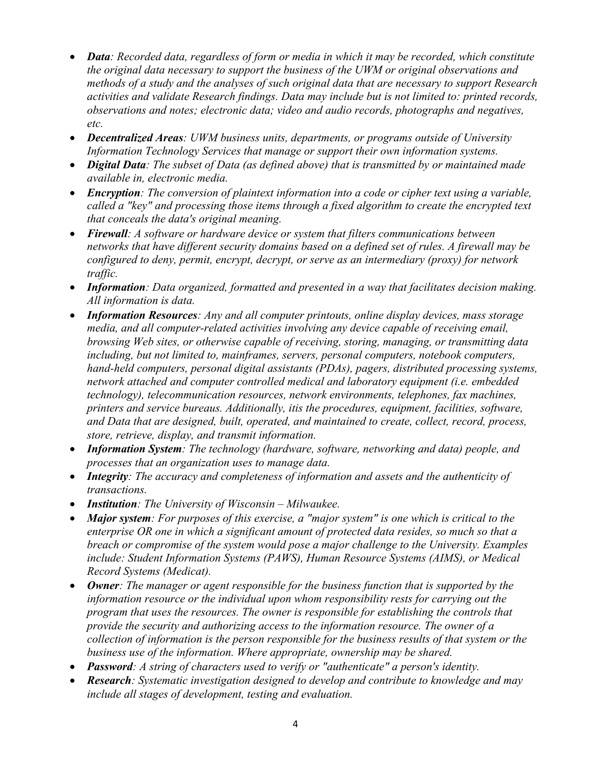- *Data: Recorded data, regardless of form or media in which it may be recorded, which constitute the original data necessary to support the business of the UWM or original observations and methods of a study and the analyses of such original data that are necessary to support Research activities and validate Research findings. Data may include but is not limited to: printed records, observations and notes; electronic data; video and audio records, photographs and negatives, etc.*
- *Decentralized Areas: UWM business units, departments, or programs outside of University Information Technology Services that manage or support their own information systems.*
- *Digital Data: The subset of Data (as defined above) that is transmitted by or maintained made available in, electronic media.*
- *Encryption: The conversion of plaintext information into a code or cipher text using a variable, called a "key" and processing those items through a fixed algorithm to create the encrypted text that conceals the data's original meaning.*
- *Firewall: A software or hardware device or system that filters communications between networks that have different security domains based on a defined set of rules. A firewall may be configured to deny, permit, encrypt, decrypt, or serve as an intermediary (proxy) for network traffic.*
- *Information: Data organized, formatted and presented in a way that facilitates decision making. All information is data.*
- *Information Resources: Any and all computer printouts, online display devices, mass storage media, and all computer-related activities involving any device capable of receiving email, browsing Web sites, or otherwise capable of receiving, storing, managing, or transmitting data including, but not limited to, mainframes, servers, personal computers, notebook computers, hand-held computers, personal digital assistants (PDAs), pagers, distributed processing systems, network attached and computer controlled medical and laboratory equipment (i.e. embedded technology), telecommunication resources, network environments, telephones, fax machines, printers and service bureaus. Additionally, itis the procedures, equipment, facilities, software, and Data that are designed, built, operated, and maintained to create, collect, record, process, store, retrieve, display, and transmit information.*
- *Information System: The technology (hardware, software, networking and data) people, and processes that an organization uses to manage data.*
- *Integrity: The accuracy and completeness of information and assets and the authenticity of transactions.*
- *Institution: The University of Wisconsin – Milwaukee.*
- *Major system: For purposes of this exercise, a "major system" is one which is critical to the enterprise OR one in which a significant amount of protected data resides, so much so that a breach or compromise of the system would pose a major challenge to the University. Examples include: Student Information Systems (PAWS), Human Resource Systems (AIMS), or Medical Record Systems (Medicat).*
- *Owner: The manager or agent responsible for the business function that is supported by the information resource or the individual upon whom responsibility rests for carrying out the program that uses the resources. The owner is responsible for establishing the controls that provide the security and authorizing access to the information resource. The owner of a collection of information is the person responsible for the business results of that system or the business use of the information. Where appropriate, ownership may be shared.*
- *Password: A string of characters used to verify or "authenticate" a person's identity.*
- *Research: Systematic investigation designed to develop and contribute to knowledge and may include all stages of development, testing and evaluation.*